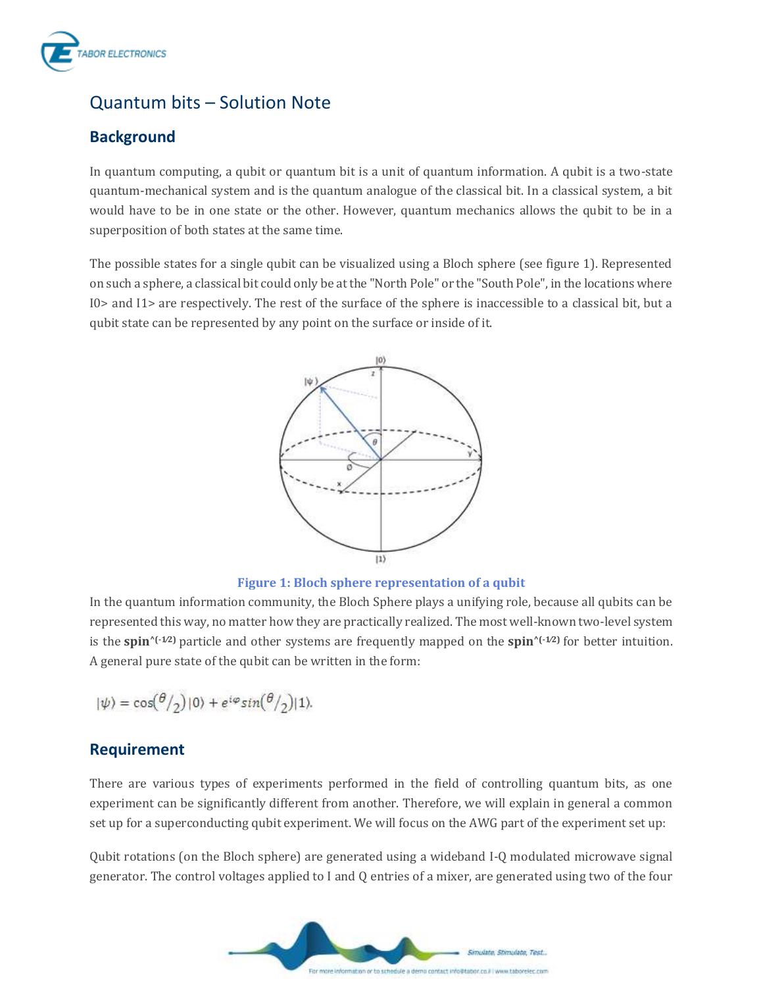

# Quantum bits – Solution Note

## **Background**

In quantum computing, a qubit or quantum bit is a unit of quantum information. A qubit is a two-state quantum-mechanical system and is the quantum analogue of the classical bit. In a classical system, a bit would have to be in one state or the other. However, quantum mechanics allows the qubit to be in a superposition of both states at the same time.

The possible states for a single qubit can be visualized using a Bloch sphere (see figure 1). Represented on such a sphere, a classical bit could only be at the "North Pole" or the "South Pole", in the locations where I0> and I1> are respectively. The rest of the surface of the sphere is inaccessible to a classical bit, but a qubit state can be represented by any point on the surface or inside of it.



#### **Figure 1: Bloch sphere representation of a qubit**

In the quantum information community, the Bloch Sphere plays a unifying role, because all qubits can be represented this way, no matter how they are practically realized. The most well-known two-level system is the **spin**<sup> $\left(\frac{1}{2}\right)$  particle and other systems are frequently mapped on the **spin** $\left(\frac{1}{2}\right)$  for better intuition.</sup> A general pure state of the qubit can be written in the form:

$$
|\psi\rangle = \cos(\theta/2)|0\rangle + e^{i\varphi}\sin(\theta/2)|1\rangle.
$$

### **Requirement**

There are various types of experiments performed in the field of controlling quantum bits, as one experiment can be significantly different from another. Therefore, we will explain in general a common set up for a superconducting qubit experiment. We will focus on the AWG part of the experiment set up:

Qubit rotations (on the Bloch sphere) are generated using a wideband I-Q modulated microwave signal generator. The control voltages applied to I and Q entries of a mixer, are generated using two of the four

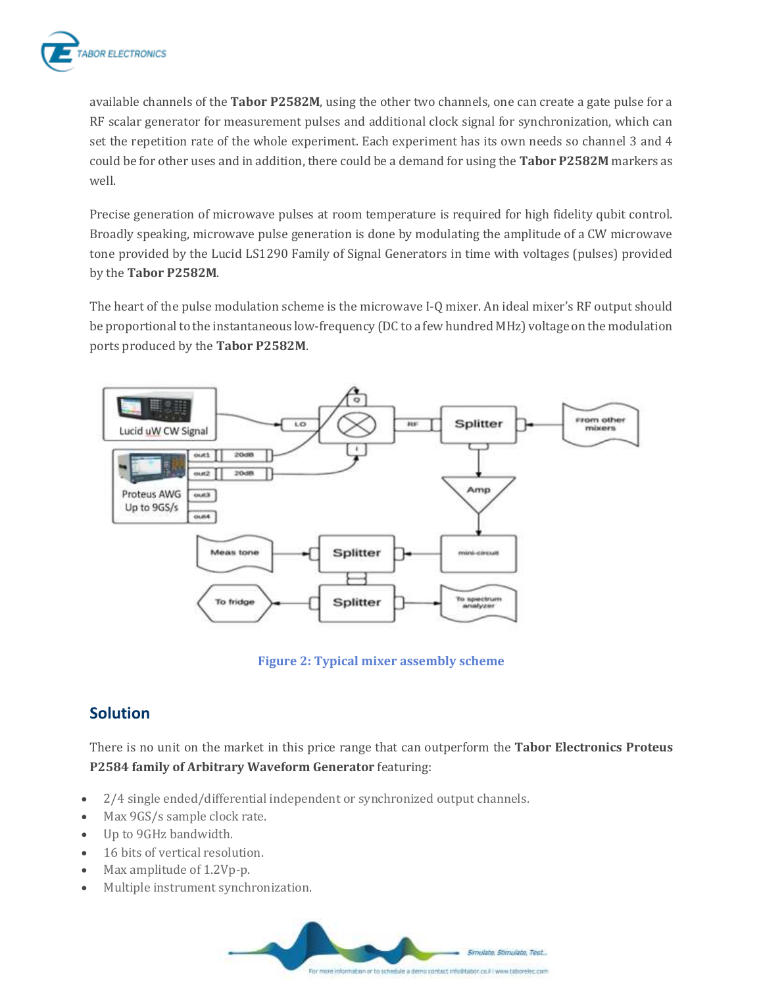

available channels of the **Tabor P2582M**, using the other two channels, one can create a gate pulse for a RF scalar generator for measurement pulses and additional clock signal for synchronization, which can set the repetition rate of the whole experiment. Each experiment has its own needs so channel 3 and 4 could be for other uses and in addition, there could be a demand for using the **Tabor P2582M** markers as well.

Precise generation of microwave pulses at room temperature is required for high fidelity qubit control. Broadly speaking, microwave pulse generation is done by modulating the amplitude of a CW microwave tone provided by the Lucid LS1290 Family of Signal Generators in time with voltages (pulses) provided by the **Tabor P2582M**.

The heart of the pulse modulation scheme is the microwave I-Q mixer. An ideal mixer's RF output should be proportional to the instantaneous low-frequency (DC to a few hundred MHz) voltage on the modulation ports produced by the **Tabor P2582M**.



**Figure 2: Typical mixer assembly scheme**

## **Solution**

There is no unit on the market in this price range that can outperform the **Tabor Electronics Proteus P2584 family of Arbitrary Waveform Generator** featuring:

- 2/4 single ended/differential independent or synchronized output channels.
- Max 9GS/s sample clock rate.
- Up to 9GHz bandwidth.
- 16 bits of vertical resolution.
- Max amplitude of 1.2Vp-p.
- Multiple instrument synchronization.